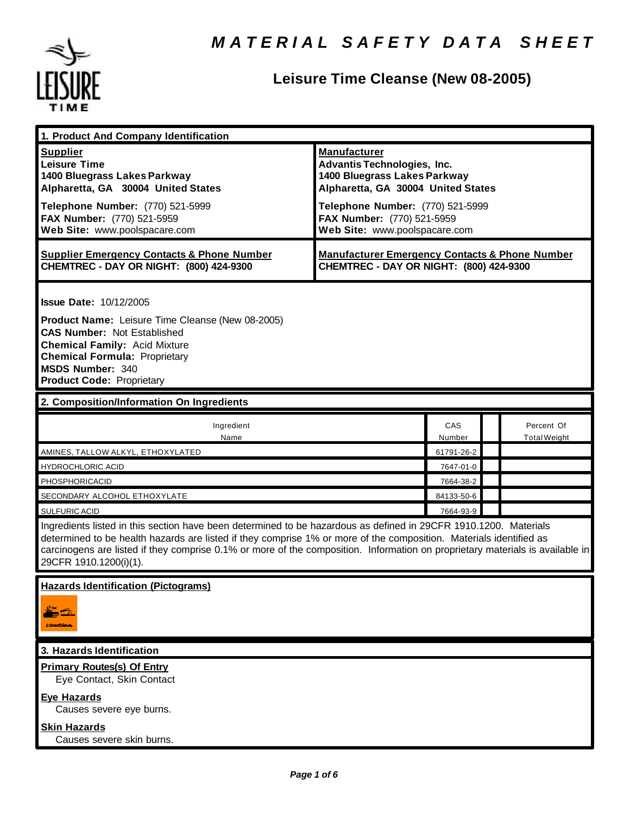

# **Leisure Time Cleanse (New 08-2005)**

| 1. Product And Company Identification                                                                                                                                                                                                                                                                                                                                                                                                  |                                                                                                                                                                                                                                    |               |  |                                   |  |
|----------------------------------------------------------------------------------------------------------------------------------------------------------------------------------------------------------------------------------------------------------------------------------------------------------------------------------------------------------------------------------------------------------------------------------------|------------------------------------------------------------------------------------------------------------------------------------------------------------------------------------------------------------------------------------|---------------|--|-----------------------------------|--|
| <b>Supplier</b><br><b>Leisure Time</b><br>1400 Bluegrass Lakes Parkway<br>Alpharetta, GA 30004 United States<br>Telephone Number: (770) 521-5999<br>FAX Number: (770) 521-5959<br>Web Site: www.poolspacare.com                                                                                                                                                                                                                        | <b>Manufacturer</b><br><b>Advantis Technologies, Inc.</b><br>1400 Bluegrass Lakes Parkway<br>Alpharetta, GA 30004 United States<br>Telephone Number: (770) 521-5999<br>FAX Number: (770) 521-5959<br>Web Site: www.poolspacare.com |               |  |                                   |  |
| <b>Supplier Emergency Contacts &amp; Phone Number</b><br>CHEMTREC - DAY OR NIGHT: (800) 424-9300                                                                                                                                                                                                                                                                                                                                       | <b>Manufacturer Emergency Contacts &amp; Phone Number</b><br>CHEMTREC - DAY OR NIGHT: (800) 424-9300                                                                                                                               |               |  |                                   |  |
| <b>Issue Date: 10/12/2005</b><br>Product Name: Leisure Time Cleanse (New 08-2005)<br><b>CAS Number: Not Established</b><br><b>Chemical Family: Acid Mixture</b><br><b>Chemical Formula: Proprietary</b><br><b>MSDS Number: 340</b><br><b>Product Code: Proprietary</b>                                                                                                                                                                 |                                                                                                                                                                                                                                    |               |  |                                   |  |
| 2. Composition/Information On Ingredients                                                                                                                                                                                                                                                                                                                                                                                              |                                                                                                                                                                                                                                    |               |  |                                   |  |
| Ingredient<br>Name                                                                                                                                                                                                                                                                                                                                                                                                                     |                                                                                                                                                                                                                                    | CAS<br>Number |  | Percent Of<br><b>Total Weight</b> |  |
| AMINES, TALLOW ALKYL, ETHOXYLATED                                                                                                                                                                                                                                                                                                                                                                                                      |                                                                                                                                                                                                                                    | 61791-26-2    |  |                                   |  |
| <b>HYDROCHLORIC ACID</b>                                                                                                                                                                                                                                                                                                                                                                                                               |                                                                                                                                                                                                                                    | 7647-01-0     |  |                                   |  |
| PHOSPHORICACID                                                                                                                                                                                                                                                                                                                                                                                                                         |                                                                                                                                                                                                                                    | 7664-38-2     |  |                                   |  |
| SECONDARY ALCOHOL ETHOXYLATE                                                                                                                                                                                                                                                                                                                                                                                                           |                                                                                                                                                                                                                                    | 84133-50-6    |  |                                   |  |
| <b>SULFURIC ACID</b><br>7664-93-9<br>Ingredients listed in this section have been determined to be hazardous as defined in 29CFR 1910.1200. Materials<br>determined to be health hazards are listed if they comprise 1% or more of the composition. Materials identified as<br>carcinogens are listed if they comprise 0.1% or more of the composition. Information on proprietary materials is available in<br>29CFR 1910.1200(i)(1). |                                                                                                                                                                                                                                    |               |  |                                   |  |
| <b>Hazards Identification (Pictograms)</b><br><b>CONGERO</b>                                                                                                                                                                                                                                                                                                                                                                           |                                                                                                                                                                                                                                    |               |  |                                   |  |
| 3. Hazards Identification                                                                                                                                                                                                                                                                                                                                                                                                              |                                                                                                                                                                                                                                    |               |  |                                   |  |
| <b>Primary Routes(s) Of Entry</b><br>Eye Contact, Skin Contact                                                                                                                                                                                                                                                                                                                                                                         |                                                                                                                                                                                                                                    |               |  |                                   |  |
| <b>Eye Hazards</b><br>Causes severe eye burns.                                                                                                                                                                                                                                                                                                                                                                                         |                                                                                                                                                                                                                                    |               |  |                                   |  |
| <b>Skin Hazards</b><br>Causes severe skin burns.                                                                                                                                                                                                                                                                                                                                                                                       |                                                                                                                                                                                                                                    |               |  |                                   |  |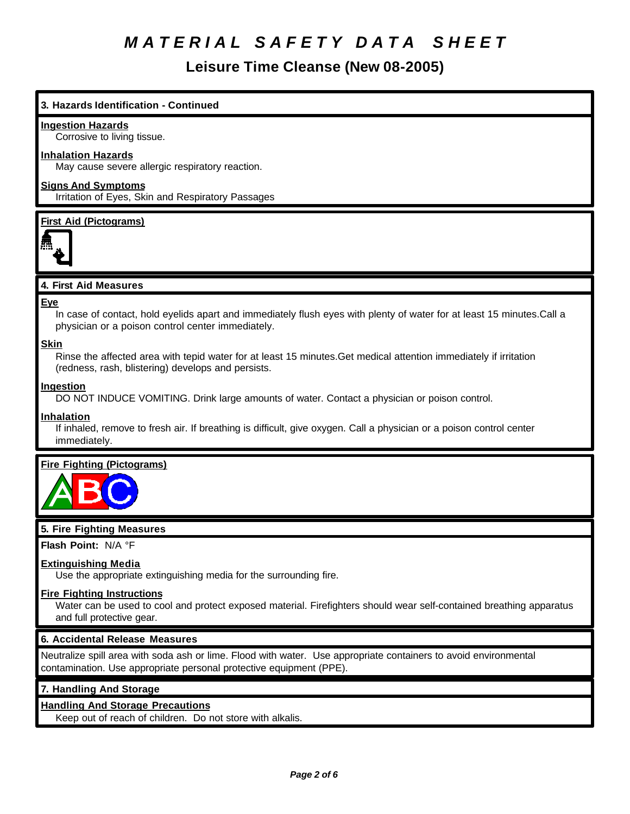**Leisure Time Cleanse (New 08-2005)**

## **3. Hazards Identification - Continued**

#### **Ingestion Hazards**

Corrosive to living tissue.

#### **Inhalation Hazards**

May cause severe allergic respiratory reaction.

## **Signs And Symptoms**

Irritation of Eyes, Skin and Respiratory Passages

#### **First Aid (Pictograms)**



## **4. First Aid Measures**

#### **Eye**

In case of contact, hold eyelids apart and immediately flush eyes with plenty of water for at least 15 minutes.Call a physician or a poison control center immediately.

### **Skin**

Rinse the affected area with tepid water for at least 15 minutes.Get medical attention immediately if irritation (redness, rash, blistering) develops and persists.

#### **Ingestion**

DO NOT INDUCE VOMITING. Drink large amounts of water. Contact a physician or poison control.

#### **Inhalation**

If inhaled, remove to fresh air. If breathing is difficult, give oxygen. Call a physician or a poison control center immediately.

## **Fire Fighting (Pictograms)**



## **5. Fire Fighting Measures**

**Flash Point:** N/A °F

## **Extinguishing Media**

Use the appropriate extinguishing media for the surrounding fire.

#### **Fire Fighting Instructions**

Water can be used to cool and protect exposed material. Firefighters should wear self-contained breathing apparatus and full protective gear.

#### **6. Accidental Release Measures**

Neutralize spill area with soda ash or lime. Flood with water. Use appropriate containers to avoid environmental contamination. Use appropriate personal protective equipment (PPE).

## **7. Handling And Storage**

## **Handling And Storage Precautions**

Keep out of reach of children. Do not store with alkalis.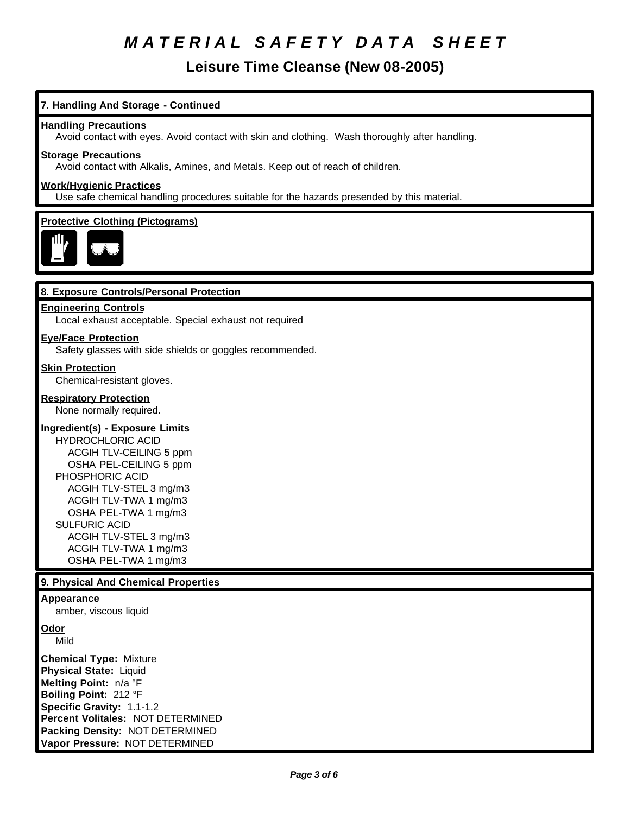**Leisure Time Cleanse (New 08-2005)**

## **7. Handling And Storage - Continued**

#### **Handling Precautions**

Avoid contact with eyes. Avoid contact with skin and clothing. Wash thoroughly after handling.

#### **Storage Precautions**

Avoid contact with Alkalis, Amines, and Metals. Keep out of reach of children.

## **Work/Hygienic Practices**

Use safe chemical handling procedures suitable for the hazards presended by this material.

#### **Protective Clothing (Pictograms)**



#### **8. Exposure Controls/Personal Protection**

#### **Engineering Controls**

Local exhaust acceptable. Special exhaust not required

#### **Eye/Face Protection**

Safety glasses with side shields or goggles recommended.

#### **Skin Protection**

Chemical-resistant gloves.

#### **Respiratory Protection**

None normally required.

## **Ingredient(s) - Exposure Limits**

HYDROCHLORIC ACID ACGIH TLV-CEILING 5 ppm OSHA PEL-CEILING 5 ppm PHOSPHORIC ACID ACGIH TLV-STEL 3 mg/m3 ACGIH TLV-TWA 1 mg/m3 OSHA PEL-TWA 1 mg/m3 SULFURIC ACID ACGIH TLV-STEL 3 mg/m3 ACGIH TLV-TWA 1 mg/m3 OSHA PEL-TWA 1 mg/m3

#### **9. Physical And Chemical Properties**

#### **Appearance**

amber, viscous liquid

**Odor**

Mild

**Chemical Type:** Mixture **Physical State:** Liquid **Melting Point:** n/a °F **Boiling Point:** 212 °F **Specific Gravity:** 1.1-1.2 **Percent Volitales:** NOT DETERMINED **Packing Density:** NOT DETERMINED **Vapor Pressure:** NOT DETERMINED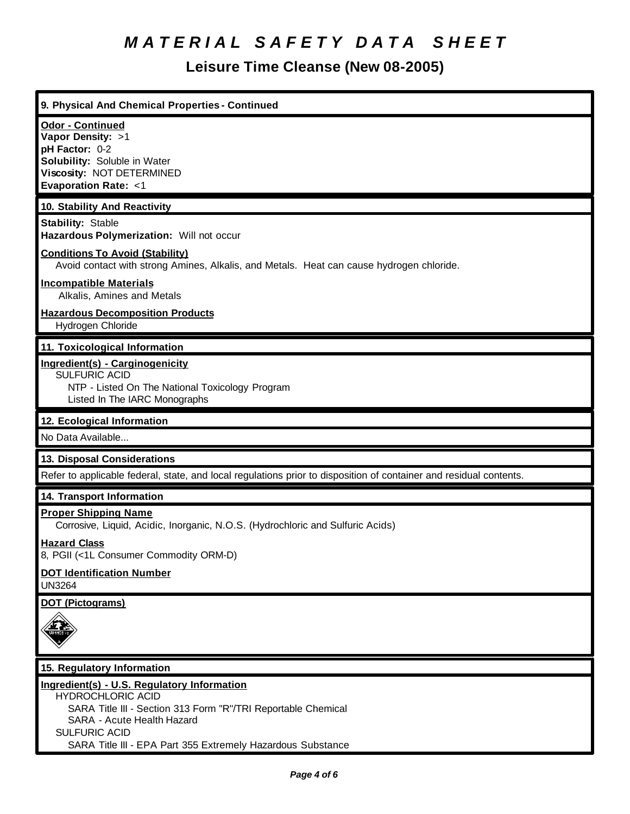## **Leisure Time Cleanse (New 08-2005)**

| 9. Physical And Chemical Properties - Continued                                                                    |  |  |
|--------------------------------------------------------------------------------------------------------------------|--|--|
|                                                                                                                    |  |  |
| <b>Odor - Continued</b><br>Vapor Density: >1                                                                       |  |  |
| pH Factor: 0-2                                                                                                     |  |  |
| Solubility: Soluble in Water                                                                                       |  |  |
| Viscosity: NOT DETERMINED                                                                                          |  |  |
| <b>Evaporation Rate: &lt;1</b>                                                                                     |  |  |
| 10. Stability And Reactivity                                                                                       |  |  |
| <b>Stability: Stable</b>                                                                                           |  |  |
| Hazardous Polymerization: Will not occur                                                                           |  |  |
| <b>Conditions To Avoid (Stability)</b>                                                                             |  |  |
| Avoid contact with strong Amines, Alkalis, and Metals. Heat can cause hydrogen chloride.                           |  |  |
| <b>Incompatible Materials</b>                                                                                      |  |  |
| Alkalis, Amines and Metals                                                                                         |  |  |
| <b>Hazardous Decomposition Products</b>                                                                            |  |  |
| Hydrogen Chloride                                                                                                  |  |  |
| 11. Toxicological Information                                                                                      |  |  |
| Ingredient(s) - Carginogenicity                                                                                    |  |  |
| <b>SULFURIC ACID</b>                                                                                               |  |  |
| NTP - Listed On The National Toxicology Program                                                                    |  |  |
| Listed In The IARC Monographs                                                                                      |  |  |
| 12. Ecological Information                                                                                         |  |  |
| No Data Available                                                                                                  |  |  |
| 13. Disposal Considerations                                                                                        |  |  |
| Refer to applicable federal, state, and local regulations prior to disposition of container and residual contents. |  |  |
| 14. Transport Information                                                                                          |  |  |
| <b>Proper Shipping Name</b>                                                                                        |  |  |
| Corrosive, Liquid, Acidic, Inorganic, N.O.S. (Hydrochloric and Sulfuric Acids)                                     |  |  |
| <b>Hazard Class</b>                                                                                                |  |  |
| 8, PGII (<1L Consumer Commodity ORM-D)                                                                             |  |  |
| <b>DOT Identification Number</b>                                                                                   |  |  |
| <b>UN3264</b>                                                                                                      |  |  |
| <b>DOT (Pictograms)</b>                                                                                            |  |  |
|                                                                                                                    |  |  |
|                                                                                                                    |  |  |
|                                                                                                                    |  |  |
| 15. Regulatory Information                                                                                         |  |  |
| Ingredient(s) - U.S. Regulatory Information                                                                        |  |  |
| <b>HYDROCHLORIC ACID</b>                                                                                           |  |  |
| SARA Title III - Section 313 Form "R"/TRI Reportable Chemical                                                      |  |  |

SARA - Acute Health Hazard

SULFURIC ACID SARA Title III - EPA Part 355 Extremely Hazardous Substance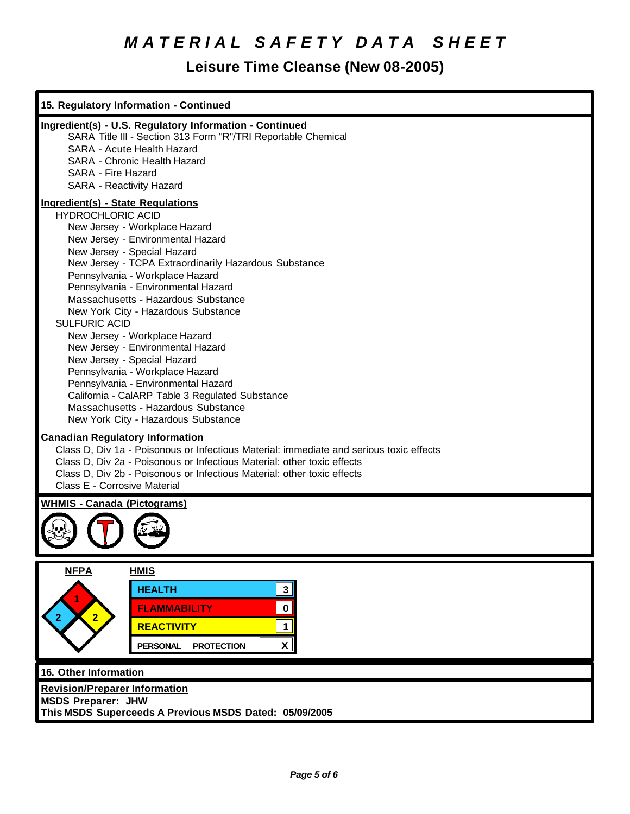# **Leisure Time Cleanse (New 08-2005)**

| 15. Regulatory Information - Continued                                                                                                                                                                                                                                                                                                                                                                                                                                                                                                                                                                                                                                                                                             |
|------------------------------------------------------------------------------------------------------------------------------------------------------------------------------------------------------------------------------------------------------------------------------------------------------------------------------------------------------------------------------------------------------------------------------------------------------------------------------------------------------------------------------------------------------------------------------------------------------------------------------------------------------------------------------------------------------------------------------------|
| Ingredient(s) - U.S. Regulatory Information - Continued<br>SARA Title III - Section 313 Form "R"/TRI Reportable Chemical<br>SARA - Acute Health Hazard<br>SARA - Chronic Health Hazard<br>SARA - Fire Hazard<br>SARA - Reactivity Hazard                                                                                                                                                                                                                                                                                                                                                                                                                                                                                           |
| <b>Ingredient(s) - State Regulations</b><br><b>HYDROCHLORIC ACID</b><br>New Jersey - Workplace Hazard<br>New Jersey - Environmental Hazard<br>New Jersey - Special Hazard<br>New Jersey - TCPA Extraordinarily Hazardous Substance<br>Pennsylvania - Workplace Hazard<br>Pennsylvania - Environmental Hazard<br>Massachusetts - Hazardous Substance<br>New York City - Hazardous Substance<br><b>SULFURIC ACID</b><br>New Jersey - Workplace Hazard<br>New Jersey - Environmental Hazard<br>New Jersey - Special Hazard<br>Pennsylvania - Workplace Hazard<br>Pennsylvania - Environmental Hazard<br>California - CalARP Table 3 Regulated Substance<br>Massachusetts - Hazardous Substance<br>New York City - Hazardous Substance |
| <b>Canadian Regulatory Information</b><br>Class D, Div 1a - Poisonous or Infectious Material: immediate and serious toxic effects<br>Class D, Div 2a - Poisonous or Infectious Material: other toxic effects<br>Class D, Div 2b - Poisonous or Infectious Material: other toxic effects<br>Class E - Corrosive Material                                                                                                                                                                                                                                                                                                                                                                                                            |
| <b>WHMIS - Canada (Pictograms)</b>                                                                                                                                                                                                                                                                                                                                                                                                                                                                                                                                                                                                                                                                                                 |
| <b>NFPA</b><br><b>HMIS</b><br><b>HEALTH</b><br>3<br>$\pmb{0}$<br><b>FLAMMABILITY</b><br>$\overline{2}$<br><b>REACTIVITY</b><br>1<br>X<br><b>PROTECTION</b><br><b>PERSONAL</b>                                                                                                                                                                                                                                                                                                                                                                                                                                                                                                                                                      |
| 16. Other Information<br><b>Revision/Preparer Information</b><br><b>MSDS Preparer: JHW</b><br>This MSDS Superceeds A Previous MSDS Dated: 05/09/2005                                                                                                                                                                                                                                                                                                                                                                                                                                                                                                                                                                               |